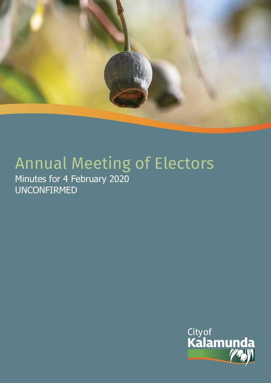

# Annual Meeting of Electors

Minutes for 4 February 2020 UNCONFIRMED

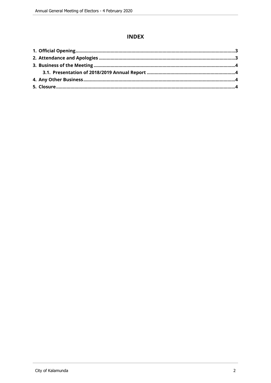## **INDEX**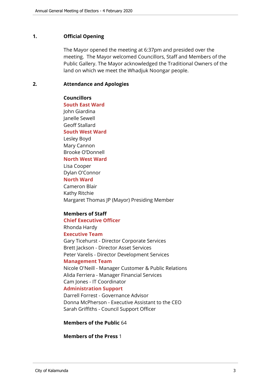#### <span id="page-2-0"></span>**1. Official Opening**

The Mayor opened the meeting at 6:37pm and presided over the meeting. The Mayor welcomed Councillors, Staff and Members of the Public Gallery. The Mayor acknowledged the Traditional Owners of the land on which we meet the Whadjuk Noongar people.

#### <span id="page-2-1"></span>**2. Attendance and Apologies**

#### **Councillors**

**South East Ward**  John Giardina Janelle Sewell Geoff Stallard **South West Ward**

Lesley Boyd Mary Cannon Brooke O'Donnell **North West Ward**

# Lisa Cooper

Dylan O'Connor

# **North Ward**

Cameron Blair Kathy Ritchie Margaret Thomas JP (Mayor) Presiding Member

#### **Members of Staff**

**Chief Executive Officer**

# Rhonda Hardy

**Executive Team**

Gary Ticehurst - Director Corporate Services Brett Jackson - Director Asset Services Peter Varelis - Director Development Services

#### **Management Team**

Nicole O'Neill - Manager Customer & Public Relations Alida Ferriera - Manager Financial Services Cam Jones - IT Coordinator **Administration Support**

Darrell Forrest - Governance Advisor Donna McPherson - Executive Assistant to the CEO Sarah Griffiths - Council Support Officer

#### **Members of the Public** 64

#### **Members of the Press** 1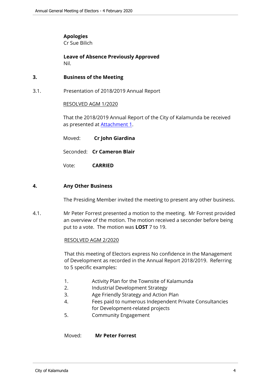## **Apologies**

Cr Sue Bilich

**Leave of Absence Previously Approved** Nil.

#### <span id="page-3-0"></span>**3. Business of the Meeting**

<span id="page-3-1"></span>3.1. Presentation of 2018/2019 Annual Report

#### RESOLVED AGM 1/2020

That the 2018/2019 Annual Report of the City of Kalamunda be received as presented at [Attachment 1](http://www.kalamunda.wa.gov.au/files/cdfe3adf-5510-48a1-addc-a9de00a0427d/Annual-Report-2018.pdf).

| Moved: | Cr John Giardina           |
|--------|----------------------------|
|        | Seconded: Cr Cameron Blair |
| Vote:  | <b>CARRIED</b>             |

#### <span id="page-3-2"></span>**4. Any Other Business**

The Presiding Member invited the meeting to present any other business.

4.1. Mr Peter Forrest presented a motion to the meeting. Mr Forrest provided an overview of the motion. The motion received a seconder before being put to a vote. The motion was **LOST** 7 to 19.

#### RESOLVED AGM 2/2020

That this meeting of Electors express No confidence in the Management of Development as recorded in the Annual Report 2018/2019. Referring to 5 specific examples:

- 1. Activity Plan for the Townsite of Kalamunda
- 2. Industrial Development Strategy
- 3. Age Friendly Strategy and Action Plan
- 4. Fees paid to numerous Independent Private Consultancies for Development-related projects
- 5. Community Engagement

Moved: **Mr Peter Forrest**